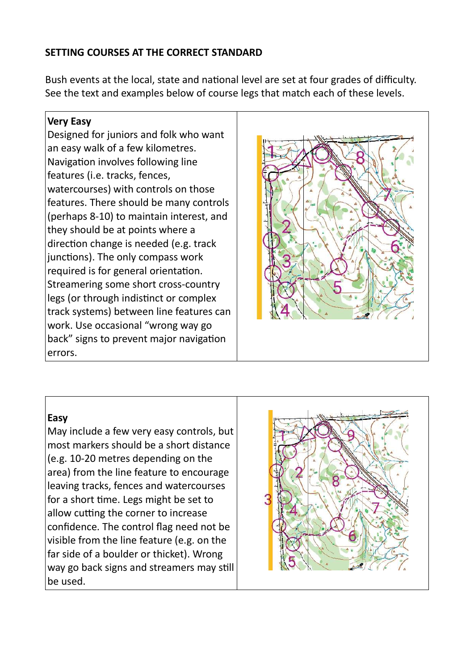## SETTING COURSES AT THE CORRECT STANDARD

Bush events at the local, state and national level are set at four grades of difficulty. See the text and examples below of course legs that match each of these levels.

#### Very Easy

Designed for juniors and folk who want an easy walk of a few kilometres. Navigation involves following line features (i.e. tracks, fences, watercourses) with controls on those features. There should be many controls (perhaps 8-10) to maintain interest, and they should be at points where a direction change is needed (e.g. track junctions). The only compass work required is for general orientation. Streamering some short cross-country legs (or through indistinct or complex track systems) between line features can work. Use occasional "wrong way go back" signs to prevent major navigation errors.



## Easy

May include a few very easy controls, but most markers should be a short distance (e.g. 10-20 metres depending on the area) from the line feature to encourage leaving tracks, fences and watercourses for a short time. Legs might be set to allow cutting the corner to increase confidence. The control flag need not be visible from the line feature (e.g. on the far side of a boulder or thicket). Wrong way go back signs and streamers may still be used.